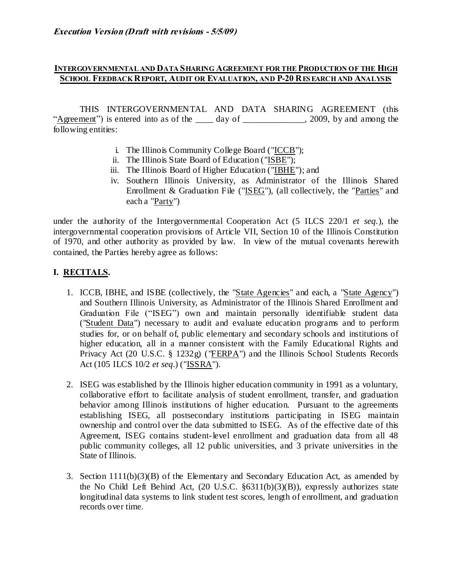### **INTERGOVERNMENTAL AND DATA SHARING AGREEMENT FOR THE PRODUCTION OF THE HIGH SCHOOL FEEDBACK REPORT, AUDIT OR EVALUATION, AND P-20 RES EARCH AND ANALYSIS**

THIS INTERGOVERNMENTAL AND DATA SHARING AGREEMENT (this "Agreement") is entered into as of the \_\_\_\_ day of \_\_\_\_\_\_\_\_\_\_\_\_, 2009, by and among the following entities:

- i. The Illinois Community College Board ("ICCB");
- ii. The Illinois State Board of Education ("ISBE");
- iii. The Illinois Board of Higher Education ("IBHE"); and
- iv. Southern Illinois University, as Administrator of the Illinois Shared Enrollment & Graduation File ("ISEG"), (all collectively, the "Parties" and each a "Party")

under the authority of the Intergovernmental Cooperation Act (5 ILCS 220/1 *et seq*.), the intergovernmental cooperation provisions of Article VII, Section 10 of the Illinois Constitution of 1970, and other authority as provided by law. In view of the mutual covenants herewith contained, the Parties hereby agree as follows:

### **I. RECITALS.**

- 1. ICCB, IBHE, and ISBE (collectively, the "State Agencies" and each, a "State Agency") and Southern Illinois University, as Administrator of the Illinois Shared Enrollment and Graduation File ("ISEG") own and maintain personally identifiable student data ("Student Data") necessary to audit and evaluate education programs and to perform studies for, or on behalf of, public elementary and secondary schools and institutions of higher education, all in a manner consistent with the Family Educational Rights and Privacy Act (20 U.S.C. § 1232g) ("FERPA") and the Illinois School Students Records Act (105 ILCS 10/2 *et seq*.) ("ISSRA").
- 2. ISEG was established by the Illinois higher education community in 1991 as a voluntary, collaborative effort to facilitate analysis of student enrollment, transfer, and graduation behavior among Illinois institutions of higher education. Pursuant to the agreements establishing ISEG, all postsecondary institutions participating in ISEG maintain ownership and control over the data submitted to ISEG. As of the effective date of this Agreement, ISEG contains student-level enrollment and graduation data from all 48 public community colleges, all 12 public universities, and 3 private universities in the State of Illinois.
- 3. Section 1111(b)(3)(B) of the Elementary and Secondary Education Act, as amended by the No Child Left Behind Act, (20 U.S.C. §6311(b)(3)(B)), expressly authorizes state longitudinal data systems to link student test scores, length of enrollment, and graduation records over time.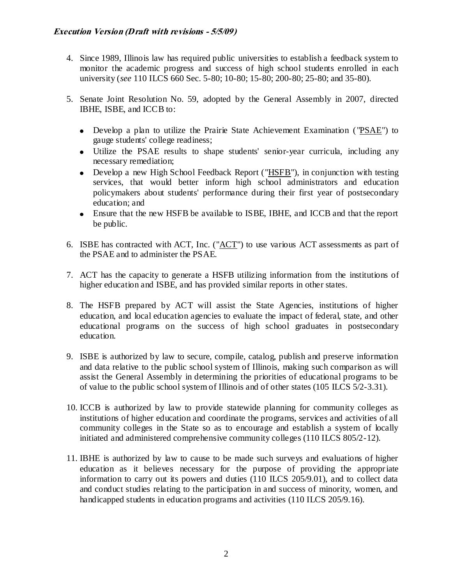- 4. Since 1989, Illinois law has required public universities to establish a feedback system to monitor the academic progress and success of high school students enrolled in each university (*see* 110 ILCS 660 Sec. 5-80; 10-80; 15-80; 200-80; 25-80; and 35-80).
- 5. Senate Joint Resolution No. 59, adopted by the General Assembly in 2007, directed IBHE, ISBE, and ICCB to:
	- Develop a plan to utilize the Prairie State Achievement Examination ( "PSAE") to gauge students' college readiness;
	- Utilize the PSAE results to shape students' senior-year curricula, including any necessary remediation;
	- Develop a new High School Feedback Report ("HSFB"), in conjunction with testing services, that would better inform high school administrators and education policymakers about students' performance during their first year of postsecondary education; and
	- Ensure that the new HSFB be available to ISBE, IBHE, and ICCB and that the report be public.
- 6. ISBE has contracted with ACT, Inc. ("ACT") to use various ACT assessments as part of the PSAE and to administer the PSAE.
- 7. ACT has the capacity to generate a HSFB utilizing information from the institutions of higher education and ISBE, and has provided similar reports in other states.
- 8. The HSFB prepared by ACT will assist the State Agencies, institutions of higher education, and local education agencies to evaluate the impact of federal, state, and other educational programs on the success of high school graduates in postsecondary education.
- 9. ISBE is authorized by law to secure, compile, catalog, publish and preserve information and data relative to the public school system of Illinois, making such comparison as will assist the General Assembly in determining the priorities of educational programs to be of value to the public school system of Illinois and of other states (105 ILCS 5/2-3.31).
- 10. ICCB is authorized by law to provide statewide planning for community colleges as institutions of higher education and coordinate the programs, services and activities of all community colleges in the State so as to encourage and establish a system of locally initiated and administered comprehensive community colleges (110 ILCS 805/2-12).
- 11. IBHE is authorized by law to cause to be made such surveys and evaluations of higher education as it believes necessary for the purpose of providing the appropriate information to carry out its powers and duties (110 ILCS 205/9.01), and to collect data and conduct studies relating to the participation in and success of minority, women, and handicapped students in education programs and activities (110 ILCS 205/9.16).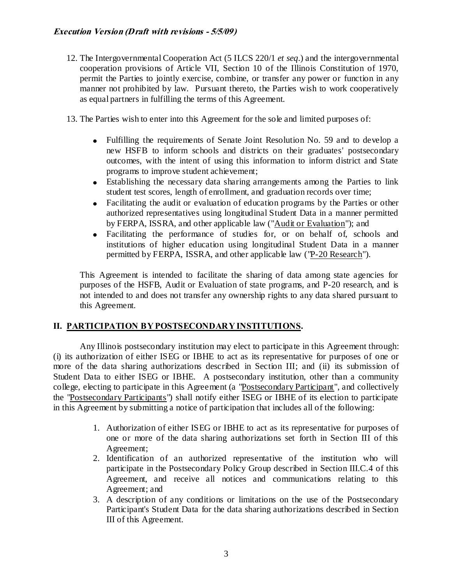- 12. The Intergovernmental Cooperation Act (5 ILCS 220/1 *et seq*.) and the intergovernmental cooperation provisions of Article VII, Section 10 of the Illinois Constitution of 1970, permit the Parties to jointly exercise, combine, or transfer any power or function in any manner not prohibited by law. Pursuant thereto, the Parties wish to work cooperatively as equal partners in fulfilling the terms of this Agreement.
- 13. The Parties wish to enter into this Agreement for the sole and limited purposes of:
	- Fulfilling the requirements of Senate Joint Resolution No. 59 and to develop a new HSFB to inform schools and districts on their graduates' postsecondary outcomes, with the intent of using this information to inform district and State programs to improve student achievement;
	- Establishing the necessary data sharing arrangements among the Parties to link student test scores, length of enrollment, and graduation records over time;
	- Facilitating the audit or evaluation of education programs by the Parties or other  $\bullet$ authorized representatives using longitudinal Student Data in a manner permitted by FERPA, ISSRA, and other applicable law ("Audit or Evaluation"); and
	- Facilitating the performance of studies for, or on behalf of, schools and institutions of higher education using longitudinal Student Data in a manner permitted by FERPA, ISSRA, and other applicable law ("P-20 Research").

This Agreement is intended to facilitate the sharing of data among state agencies for purposes of the HSFB, Audit or Evaluation of state programs, and P-20 research, and is not intended to and does not transfer any ownership rights to any data shared pursuant to this Agreement.

## **II. PARTICIPATION BY POSTSECONDARY INSTITUTIONS.**

Any Illinois postsecondary institution may elect to participate in this Agreement through: (i) its authorization of either ISEG or IBHE to act as its representative for purposes of one or more of the data sharing authorizations described in Section III; and (ii) its submission of Student Data to either ISEG or IBHE. A postsecondary institution, other than a community college, electing to participate in this Agreement (a "Postsecondary Participant", and collectively the "Postsecondary Participants") shall notify either ISEG or IBHE of its election to participate in this Agreement by submitting a notice of participation that includes all of the following:

- 1. Authorization of either ISEG or IBHE to act as its representative for purposes of one or more of the data sharing authorizations set forth in Section III of this Agreement;
- 2. Identification of an authorized representative of the institution who will participate in the Postsecondary Policy Group described in Section III.C.4 of this Agreement, and receive all notices and communications relating to this Agreement; and
- 3. A description of any conditions or limitations on the use of the Postsecondary Participant's Student Data for the data sharing authorizations described in Section III of this Agreement.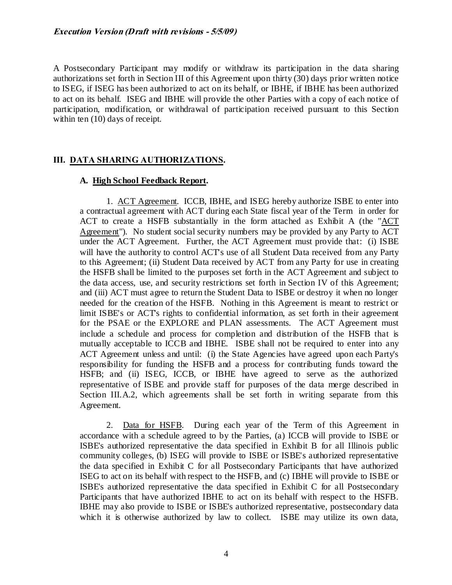A Postsecondary Participant may modify or withdraw its participation in the data sharing authorizations set forth in Section III of this Agreement upon thirty (30) days prior written notice to ISEG, if ISEG has been authorized to act on its behalf, or IBHE, if IBHE has been authorized to act on its behalf. ISEG and IBHE will provide the other Parties with a copy of each notice of participation, modification, or withdrawal of participation received pursuant to this Section within ten (10) days of receipt.

## **III. DATA SHARING AUTHORIZATIONS.**

### **A. High School Feedback Report.**

1. ACT Agreement. ICCB, IBHE, and ISEG hereby authorize ISBE to enter into a contractual agreement with ACT during each State fiscal year of the Term in order for ACT to create a HSFB substantially in the form attached as Exhibit A (the "ACT Agreement"). No student social security numbers may be provided by any Party to ACT under the ACT Agreement. Further, the ACT Agreement must provide that: (i) ISBE will have the authority to control ACT's use of all Student Data received from any Party to this Agreement; (ii) Student Data received by ACT from any Party for use in creating the HSFB shall be limited to the purposes set forth in the ACT Agreement and subject to the data access, use, and security restrictions set forth in Section IV of this Agreement; and (iii) ACT must agree to return the Student Data to ISBE or destroy it when no longer needed for the creation of the HSFB. Nothing in this Agreement is meant to restrict or limit ISBE's or ACT's rights to confidential information, as set forth in their agreement for the PSAE or the EXPLORE and PLAN assessments. The ACT Agreement must include a schedule and process for completion and distribution of the HSFB that is mutually acceptable to ICCB and IBHE. ISBE shall not be required to enter into any ACT Agreement unless and until: (i) the State Agencies have agreed upon each Party's responsibility for funding the HSFB and a process for contributing funds toward the HSFB; and (ii) ISEG, ICCB, or IBHE have agreed to serve as the authorized representative of ISBE and provide staff for purposes of the data merge described in Section III.A.2, which agreements shall be set forth in writing separate from this Agreement.

2. Data for HSFB. During each year of the Term of this Agreement in accordance with a schedule agreed to by the Parties, (a) ICCB will provide to ISBE or ISBE's authorized representative the data specified in Exhibit B for all Illinois public community colleges, (b) ISEG will provide to ISBE or ISBE's authorized representative the data specified in Exhibit C for all Postsecondary Participants that have authorized ISEG to act on its behalf with respect to the HSFB, and (c) IBHE will provide to ISBE or ISBE's authorized representative the data specified in Exhibit C for all Postsecondary Participants that have authorized IBHE to act on its behalf with respect to the HSFB. IBHE may also provide to ISBE or ISBE's authorized representative, postsecondary data which it is otherwise authorized by law to collect. ISBE may utilize its own data,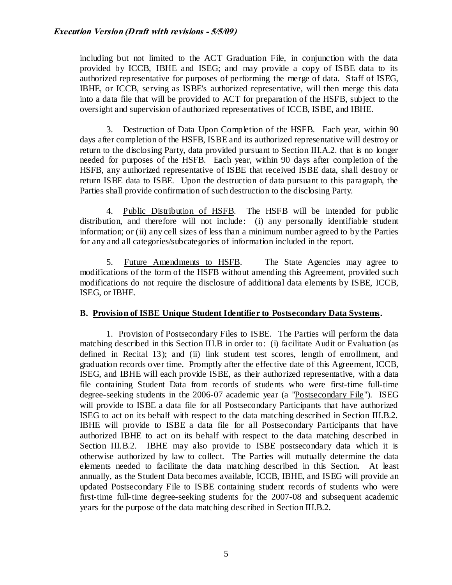including but not limited to the ACT Graduation File, in conjunction with the data provided by ICCB, IBHE and ISEG; and may provide a copy of ISBE data to its authorized representative for purposes of performing the merge of data. Staff of ISEG, IBHE, or ICCB, serving as ISBE's authorized representative, will then merge this data into a data file that will be provided to ACT for preparation of the HSFB, subject to the oversight and supervision of authorized representatives of ICCB, ISBE, and IBHE.

3. Destruction of Data Upon Completion of the HSFB. Each year, within 90 days after completion of the HSFB, ISBE and its authorized representative will destroy or return to the disclosing Party, data provided pursuant to Section III.A.2. that is no longer needed for purposes of the HSFB. Each year, within 90 days after completion of the HSFB, any authorized representative of ISBE that received ISBE data, shall destroy or return ISBE data to ISBE. Upon the destruction of data pursuant to this paragraph, the Parties shall provide confirmation of such destruction to the disclosing Party.

4. Public Distribution of HSFB. The HSFB will be intended for public distribution, and therefore will not include: (i) any personally identifiable student information; or (ii) any cell sizes of less than a minimum number agreed to by the Parties for any and all categories/subcategories of information included in the report.

5. Future Amendments to HSFB. The State Agencies may agree to modifications of the form of the HSFB without amending this Agreement, provided such modifications do not require the disclosure of additional data elements by ISBE, ICCB, ISEG, or IBHE.

### **B. Provision of ISBE Unique Student Identifier to Postsecondary Data Systems.**

1. Provision of Postsecondary Files to ISBE. The Parties will perform the data matching described in this Section III.B in order to: (i) facilitate Audit or Evaluation (as defined in Recital 13); and (ii) link student test scores, length of enrollment, and graduation records over time. Promptly after the effective date of this Agreement, ICCB, ISEG, and IBHE will each provide ISBE, as their authorized representative, with a data file containing Student Data from records of students who were first-time full-time degree-seeking students in the 2006-07 academic year (a "Postsecondary File"). ISEG will provide to ISBE a data file for all Postsecondary Participants that have authorized ISEG to act on its behalf with respect to the data matching described in Section III.B.2. IBHE will provide to ISBE a data file for all Postsecondary Participants that have authorized IBHE to act on its behalf with respect to the data matching described in Section III.B.2. IBHE may also provide to ISBE postsecondary data which it is otherwise authorized by law to collect. The Parties will mutually determine the data elements needed to facilitate the data matching described in this Section. At least annually, as the Student Data becomes available, ICCB, IBHE, and ISEG will provide an updated Postsecondary File to ISBE containing student records of students who were first-time full-time degree-seeking students for the 2007-08 and subsequent academic years for the purpose of the data matching described in Section III.B.2.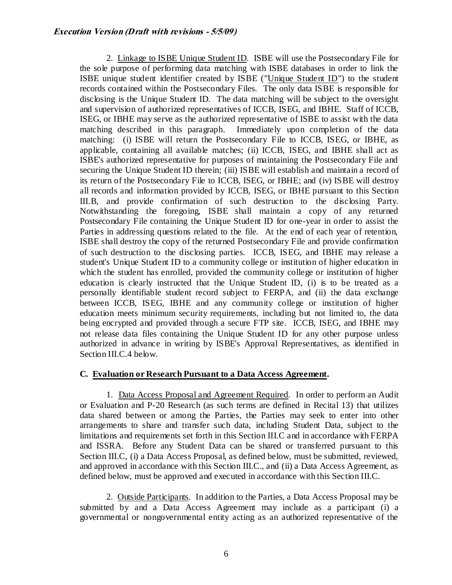2. Linkage to ISBE Unique Student ID. ISBE will use the Postsecondary File for the sole purpose of performing data matching with ISBE databases in order to link the ISBE unique student identifier created by ISBE ("Unique Student ID") to the student records contained within the Postsecondary Files. The only data ISBE is responsible for disclosing is the Unique Student ID. The data matching will be subject to the oversight and supervision of authorized representatives of ICCB, ISEG, and IBHE. Staff of ICCB, ISEG, or IBHE may serve as the authorized representative of ISBE to assist with the data matching described in this paragraph. Immediately upon completion of the data matching: (i) ISBE will return the Postsecondary File to ICCB, ISEG, or IBHE, as applicable, containing all available matches; (ii) ICCB, ISEG, and IBHE shall act as ISBE's authorized representative for purposes of maintaining the Postsecondary File and securing the Unique Student ID therein; (iii) ISBE will establish and maintain a record of its return of the Postsecondary File to ICCB, ISEG, or IBHE; and (iv) ISBE will destroy all records and information provided by ICCB, ISEG, or IBHE pursuant to this Section III.B, and provide confirmation of such destruction to the disclosing Party. Notwithstanding the foregoing, ISBE shall maintain a copy of any returned Postsecondary File containing the Unique Student ID for one-year in order to assist the Parties in addressing questions related to the file. At the end of each year of retention, ISBE shall destroy the copy of the returned Postsecondary File and provide confirmation of such destruction to the disclosing parties. ICCB, ISEG, and IBHE may release a student's Unique Student ID to a community college or institution of higher education in which the student has enrolled, provided the community college or institution of higher education is clearly instructed that the Unique Student ID, (i) is to be treated as a personally identifiable student record subject to FERPA, and (ii) the data exchange between ICCB, ISEG, IBHE and any community college or institution of higher education meets minimum security requirements, including but not limited to, the data being encrypted and provided through a secure FTP site. ICCB, ISEG, and IBHE may not release data files containing the Unique Student ID for any other purpose unless authorized in advance in writing by ISBE's Approval Representatives, as identified in Section III.C.4 below.

### **C. Evaluation or Research Pursuant to a Data Access Agreement.**

1. Data Access Proposal and Agreement Required. In order to perform an Audit or Evaluation and P-20 Research (as such terms are defined in Recital 13) that utilizes data shared between or among the Parties, the Parties may seek to enter into other arrangements to share and transfer such data, including Student Data, subject to the limitations and requirements set forth in this Section III.C and in accordance with FERPA and ISSRA. Before any Student Data can be shared or transferred pursuant to this Section III.C, (i) a Data Access Proposal, as defined below, must be submitted, reviewed, and approved in accordance with this Section III.C., and (ii) a Data Access Agreement, as defined below, must be approved and executed in accordance with this Section III.C.

2. Outside Participants. In addition to the Parties, a Data Access Proposal may be submitted by and a Data Access Agreement may include as a participant (i) a governmental or nongovernmental entity acting as an authorized representative of the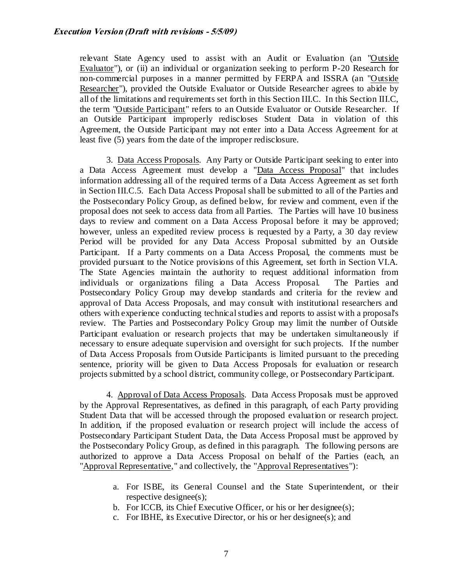relevant State Agency used to assist with an Audit or Evaluation (an "Outside Evaluator"), or (ii) an individual or organization seeking to perform P-20 Research for non-commercial purposes in a manner permitted by FERPA and ISSRA (an "Outside Researcher"), provided the Outside Evaluator or Outside Researcher agrees to abide by all of the limitations and requirements set forth in this Section III.C. In this Section III.C, the term "Outside Participant" refers to an Outside Evaluator or Outside Researcher. If an Outside Participant improperly rediscloses Student Data in violation of this Agreement, the Outside Participant may not enter into a Data Access Agreement for at least five (5) years from the date of the improper redisclosure.

3. Data Access Proposals. Any Party or Outside Participant seeking to enter into a Data Access Agreement must develop a "Data Access Proposal" that includes information addressing all of the required terms of a Data Access Agreement as set forth in Section III.C.5. Each Data Access Proposal shall be submitted to all of the Parties and the Postsecondary Policy Group, as defined below, for review and comment, even if the proposal does not seek to access data from all Parties. The Parties will have 10 business days to review and comment on a Data Access Proposal before it may be approved; however, unless an expedited review process is requested by a Party, a 30 day review Period will be provided for any Data Access Proposal submitted by an Outside Participant. If a Party comments on a Data Access Proposal, the comments must be provided pursuant to the Notice provisions of this Agreement, set forth in Section VI.A. The State Agencies maintain the authority to request additional information from individuals or organizations filing a Data Access Proposal. The Parties and Postsecondary Policy Group may develop standards and criteria for the review and approval of Data Access Proposals, and may consult with institutional researchers and others with experience conducting technical studies and reports to assist with a proposal's review. The Parties and Postsecondary Policy Group may limit the number of Outside Participant evaluation or research projects that may be undertaken simultaneously if necessary to ensure adequate supervision and oversight for such projects. If the number of Data Access Proposals from Outside Participants is limited pursuant to the preceding sentence, priority will be given to Data Access Proposals for evaluation or research projects submitted by a school district, community college, or Postsecondary Participant.

4. Approval of Data Access Proposals. Data Access Proposals must be approved by the Approval Representatives, as defined in this paragraph, of each Party providing Student Data that will be accessed through the proposed evaluation or research project. In addition, if the proposed evaluation or research project will include the access of Postsecondary Participant Student Data, the Data Access Proposal must be approved by the Postsecondary Policy Group, as defined in this paragraph. The following persons are authorized to approve a Data Access Proposal on behalf of the Parties (each, an "Approval Representative," and collectively, the "Approval Representatives"):

- a. For ISBE, its General Counsel and the State Superintendent, or their respective designee(s);
- b. For ICCB, its Chief Executive Officer, or his or her designee(s);
- c. For IBHE, its Executive Director, or his or her designee(s); and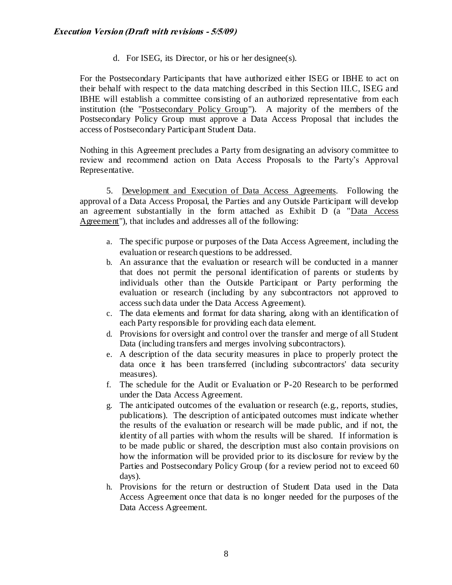d. For ISEG, its Director, or his or her designee(s).

For the Postsecondary Participants that have authorized either ISEG or IBHE to act on their behalf with respect to the data matching described in this Section III.C, ISEG and IBHE will establish a committee consisting of an authorized representative from each institution (the "Postsecondary Policy Group"). A majority of the members of the Postsecondary Policy Group must approve a Data Access Proposal that includes the access of Postsecondary Participant Student Data.

Nothing in this Agreement precludes a Party from designating an advisory committee to review and recommend action on Data Access Proposals to the Party's Approval Representative.

5. Development and Execution of Data Access Agreements. Following the approval of a Data Access Proposal, the Parties and any Outside Participant will develop an agreement substantially in the form attached as Exhibit D (a "Data Access Agreement"), that includes and addresses all of the following:

- a. The specific purpose or purposes of the Data Access Agreement, including the evaluation or research questions to be addressed.
- b. An assurance that the evaluation or research will be conducted in a manner that does not permit the personal identification of parents or students by individuals other than the Outside Participant or Party performing the evaluation or research (including by any subcontractors not approved to access such data under the Data Access Agreement).
- c. The data elements and format for data sharing, along with an identification of each Party responsible for providing each data element.
- d. Provisions for oversight and control over the transfer and merge of all Student Data (including transfers and merges involving subcontractors).
- e. A description of the data security measures in place to properly protect the data once it has been transferred (including subcontractors' data security measures).
- f. The schedule for the Audit or Evaluation or P-20 Research to be performed under the Data Access Agreement.
- g. The anticipated outcomes of the evaluation or research (e.g., reports, studies, publications). The description of anticipated outcomes must indicate whether the results of the evaluation or research will be made public, and if not, the identity of all parties with whom the results will be shared. If information is to be made public or shared, the description must also contain provisions on how the information will be provided prior to its disclosure for review by the Parties and Postsecondary Policy Group (for a review period not to exceed 60 days).
- h. Provisions for the return or destruction of Student Data used in the Data Access Agreement once that data is no longer needed for the purposes of the Data Access Agreement.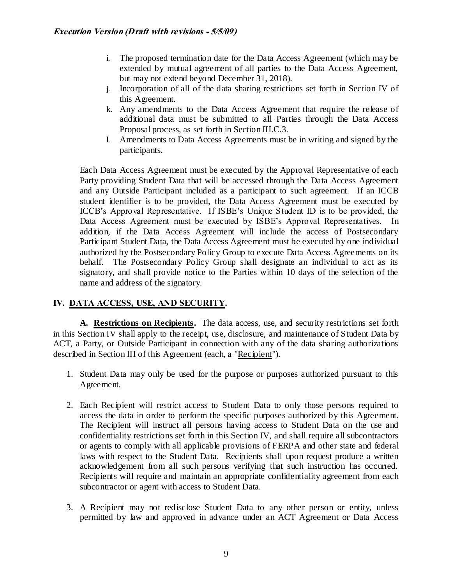- i. The proposed termination date for the Data Access Agreement (which may be extended by mutual agreement of all parties to the Data Access Agreement, but may not extend beyond December 31, 2018).
- j. Incorporation of all of the data sharing restrictions set forth in Section IV of this Agreement.
- k. Any amendments to the Data Access Agreement that require the release of additional data must be submitted to all Parties through the Data Access Proposal process, as set forth in Section III.C.3.
- l. Amendments to Data Access Agreements must be in writing and signed by the participants.

Each Data Access Agreement must be executed by the Approval Representative of each Party providing Student Data that will be accessed through the Data Access Agreement and any Outside Participant included as a participant to such agreement. If an ICCB student identifier is to be provided, the Data Access Agreement must be executed by ICCB's Approval Representative. If ISBE's Unique Student ID is to be provided, the Data Access Agreement must be executed by ISBE's Approval Representatives. In addition, if the Data Access Agreement will include the access of Postsecondary Participant Student Data, the Data Access Agreement must be executed by one individual authorized by the Postsecondary Policy Group to execute Data Access Agreements on its behalf. The Postsecondary Policy Group shall designate an individual to act as its signatory, and shall provide notice to the Parties within 10 days of the selection of the name and address of the signatory.

## **IV. DATA ACCESS, USE, AND SECURITY.**

**A. Restrictions on Recipients.** The data access, use, and security restrictions set forth in this Section IV shall apply to the receipt, use, disclosure, and maintenance of Student Data by ACT, a Party, or Outside Participant in connection with any of the data sharing authorizations described in Section III of this Agreement (each, a "Recipient").

- 1. Student Data may only be used for the purpose or purposes authorized pursuant to this Agreement.
- 2. Each Recipient will restrict access to Student Data to only those persons required to access the data in order to perform the specific purposes authorized by this Agreement. The Recipient will instruct all persons having access to Student Data on the use and confidentiality restrictions set forth in this Section IV, and shall require all subcontractors or agents to comply with all applicable provisions of FERPA and other state and federal laws with respect to the Student Data. Recipients shall upon request produce a written acknowledgement from all such persons verifying that such instruction has occurred. Recipients will require and maintain an appropriate confidentiality agreement from each subcontractor or agent with access to Student Data.
- 3. A Recipient may not redisclose Student Data to any other person or entity, unless permitted by law and approved in advance under an ACT Agreement or Data Access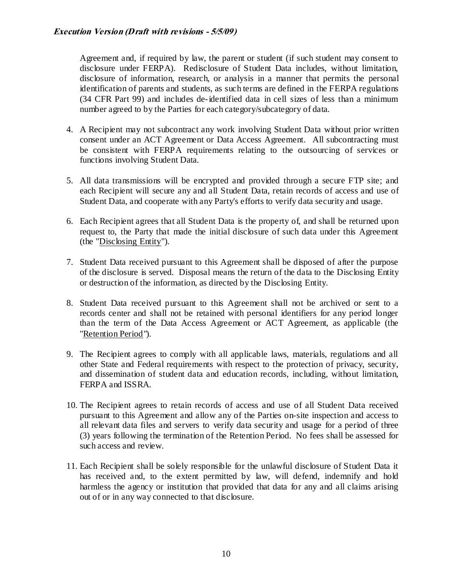Agreement and, if required by law, the parent or student (if such student may consent to disclosure under FERPA). Redisclosure of Student Data includes, without limitation, disclosure of information, research, or analysis in a manner that permits the personal identification of parents and students, as such terms are defined in the FERPA regulations (34 CFR Part 99) and includes de-identified data in cell sizes of less than a minimum number agreed to by the Parties for each category/subcategory of data.

- 4. A Recipient may not subcontract any work involving Student Data without prior written consent under an ACT Agreement or Data Access Agreement. All subcontracting must be consistent with FERPA requirements relating to the outsourcing of services or functions involving Student Data.
- 5. All data transmissions will be encrypted and provided through a secure FTP site; and each Recipient will secure any and all Student Data, retain records of access and use of Student Data, and cooperate with any Party's efforts to verify data security and usage.
- 6. Each Recipient agrees that all Student Data is the property of, and shall be returned upon request to, the Party that made the initial disclosure of such data under this Agreement (the "Disclosing Entity").
- 7. Student Data received pursuant to this Agreement shall be disposed of after the purpose of the disclosure is served. Disposal means the return of the data to the Disclosing Entity or destruction of the information, as directed by the Disclosing Entity.
- 8. Student Data received pursuant to this Agreement shall not be archived or sent to a records center and shall not be retained with personal identifiers for any period longer than the term of the Data Access Agreement or ACT Agreement, as applicable (the "Retention Period").
- 9. The Recipient agrees to comply with all applicable laws, materials, regulations and all other State and Federal requirements with respect to the protection of privacy, security, and dissemination of student data and education records, including, without limitation, FERPA and ISSRA.
- 10. The Recipient agrees to retain records of access and use of all Student Data received pursuant to this Agreement and allow any of the Parties on-site inspection and access to all relevant data files and servers to verify data security and usage for a period of three (3) years following the termination of the Retention Period. No fees shall be assessed for such access and review.
- 11. Each Recipient shall be solely responsible for the unlawful disclosure of Student Data it has received and, to the extent permitted by law, will defend, indemnify and hold harmless the agency or institution that provided that data for any and all claims arising out of or in any way connected to that disclosure.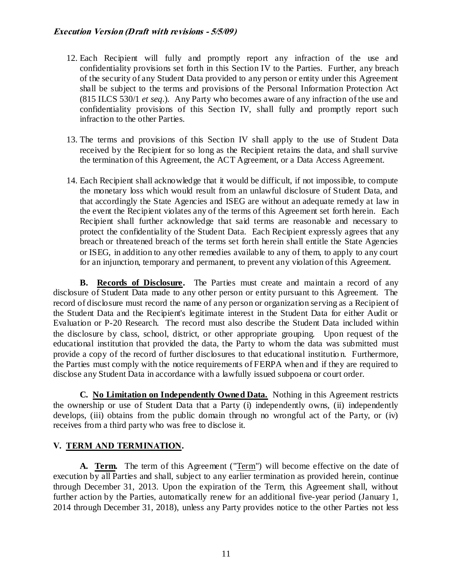### **Execution Version (Draft with revisions - 5/5/09)**

- 12. Each Recipient will fully and promptly report any infraction of the use and confidentiality provisions set forth in this Section IV to the Parties. Further, any breach of the security of any Student Data provided to any person or entity under this Agreement shall be subject to the terms and provisions of the Personal Information Protection Act (815 ILCS 530/1 *et seq*.). Any Party who becomes aware of any infraction of the use and confidentiality provisions of this Section IV, shall fully and promptly report such infraction to the other Parties.
- 13. The terms and provisions of this Section IV shall apply to the use of Student Data received by the Recipient for so long as the Recipient retains the data, and shall survive the termination of this Agreement, the ACT Agreement, or a Data Access Agreement.
- 14. Each Recipient shall acknowledge that it would be difficult, if not impossible, to compute the monetary loss which would result from an unlawful disclosure of Student Data, and that accordingly the State Agencies and ISEG are without an adequate remedy at law in the event the Recipient violates any of the terms of this Agreement set forth herein. Each Recipient shall further acknowledge that said terms are reasonable and necessary to protect the confidentiality of the Student Data. Each Recipient expressly agrees that any breach or threatened breach of the terms set forth herein shall entitle the State Agencies or ISEG, in addition to any other remedies available to any of them, to apply to any court for an injunction, temporary and permanent, to prevent any violation of this Agreement.

**B. Records of Disclosure.** The Parties must create and maintain a record of any disclosure of Student Data made to any other person or entity pursuant to this Agreement. The record of disclosure must record the name of any person or organization serving as a Recipient of the Student Data and the Recipient's legitimate interest in the Student Data for either Audit or Evaluation or P-20 Research. The record must also describe the Student Data included within the disclosure by class, school, district, or other appropriate grouping. Upon request of the educational institution that provided the data, the Party to whom the data was submitted must provide a copy of the record of further disclosures to that educational institutio n. Furthermore, the Parties must comply with the notice requirements of FERPA when and if they are required to disclose any Student Data in accordance with a lawfully issued subpoena or court order.

**C. No Limitation on Independently Owned Data.** Nothing in this Agreement restricts the ownership or use of Student Data that a Party (i) independently owns, (ii) independently develops, (iii) obtains from the public domain through no wrongful act of the Party, or (iv) receives from a third party who was free to disclose it.

### **V. TERM AND TERMINATION.**

**A. Term.** The term of this Agreement ("Term") will become effective on the date of execution by all Parties and shall, subject to any earlier termination as provided herein, continue through December 31, 2013. Upon the expiration of the Term, this Agreement shall, without further action by the Parties, automatically renew for an additional five-year period (January 1, 2014 through December 31, 2018), unless any Party provides notice to the other Parties not less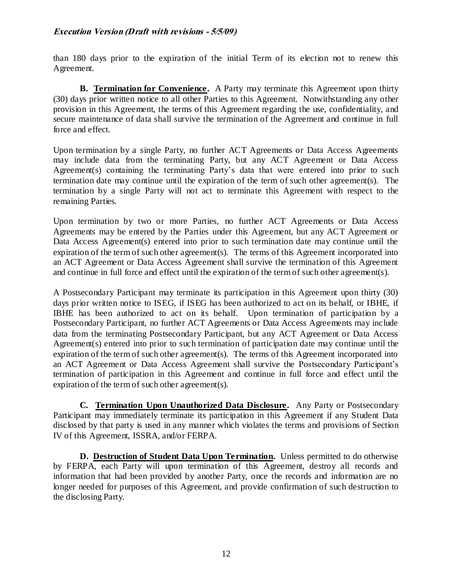### **Execution Version (Draft with revisions - 5/5/09)**

than 180 days prior to the expiration of the initial Term of its election not to renew this Agreement.

**B. Termination for Convenience.** A Party may terminate this Agreement upon thirty (30) days prior written notice to all other Parties to this Agreement. Notwithstanding any other provision in this Agreement, the terms of this Agreement regarding the use, confidentiality, and secure maintenance of data shall survive the termination of the Agreement and continue in full force and effect.

Upon termination by a single Party, no further ACT Agreements or Data Access Agreements may include data from the terminating Party, but any ACT Agreement or Data Access Agreement(s) containing the terminating Party's data that were entered into prior to such termination date may continue until the expiration of the term of such other agreement(s). The termination by a single Party will not act to terminate this Agreement with respect to the remaining Parties.

Upon termination by two or more Parties, no further ACT Agreements or Data Access Agreements may be entered by the Parties under this Agreement, but any ACT Agreement or Data Access Agreement(s) entered into prior to such termination date may continue until the expiration of the term of such other agreement(s). The terms of this Agreement incorporated into an ACT Agreement or Data Access Agreement shall survive the termination of this Agreement and continue in full force and effect until the expiration of the term of such other agreement(s).

A Postsecondary Participant may terminate its participation in this Agreement upon thirty (30) days prior written notice to ISEG, if ISEG has been authorized to act on its behalf, or IBHE, if IBHE has been authorized to act on its behalf. Upon termination of participation by a Postsecondary Participant, no further ACT Agreements or Data Access Agreements may include data from the terminating Postsecondary Participant, but any ACT Agreement or Data Access Agreement(s) entered into prior to such termination of participation date may continue until the expiration of the term of such other agreement(s). The terms of this Agreement incorporated into an ACT Agreement or Data Access Agreement shall survive the Postsecondary Participant's termination of participation in this Agreement and continue in full force and effect until the expiration of the term of such other agreement(s).

**C. Termination Upon Unauthorized Data Disclosure.** Any Party or Postsecondary Participant may immediately terminate its participation in this Agreement if any Student Data disclosed by that party is used in any manner which violates the terms and provisions of Section IV of this Agreement, ISSRA, and/or FERPA.

**D. Destruction of Student Data Upon Termination.** Unless permitted to do otherwise by FERPA, each Party will upon termination of this Agreement, destroy all records and information that had been provided by another Party, once the records and information are no longer needed for purposes of this Agreement, and provide confirmation of such destruction to the disclosing Party.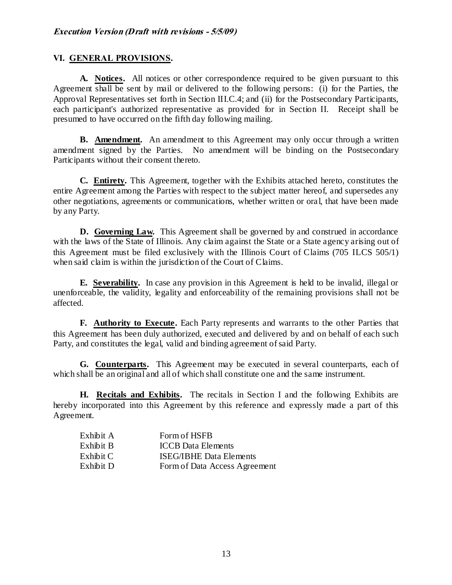### **VI. GENERAL PROVISIONS.**

**A. Notices.** All notices or other correspondence required to be given pursuant to this Agreement shall be sent by mail or delivered to the following persons: (i) for the Parties, the Approval Representatives set forth in Section III.C.4; and (ii) for the Postsecondary Participants, each participant's authorized representative as provided for in Section II. Receipt shall be presumed to have occurred on the fifth day following mailing.

**B.** Amendment. An amendment to this Agreement may only occur through a written amendment signed by the Parties. No amendment will be binding on the Postsecondary Participants without their consent thereto.

**C. Entirety.** This Agreement, together with the Exhibits attached hereto, constitutes the entire Agreement among the Parties with respect to the subject matter hereof, and supersedes any other negotiations, agreements or communications, whether written or ora l, that have been made by any Party.

**D.** Governing Law. This Agreement shall be governed by and construed in accordance with the laws of the State of Illinois. Any claim against the State or a State agency arising out of this Agreement must be filed exclusively with the Illinois Court of Claims (705 ILCS 505/1) when said claim is within the jurisdiction of the Court of Claims.

**E. Severability.** In case any provision in this Agreement is held to be invalid, illegal or unenforceable, the validity, legality and enforceability of the remaining provisions shall not be affected.

**F. Authority to Execute.** Each Party represents and warrants to the other Parties that this Agreement has been duly authorized, executed and delivered by and on behalf of each such Party, and constitutes the legal, valid and binding agreement of said Party.

**G. Counterparts.** This Agreement may be executed in several counterparts, each of which shall be an original and all of which shall constitute one and the same instrument.

**H. Recitals and Exhibits.** The recitals in Section I and the following Exhibits are hereby incorporated into this Agreement by this reference and expressly made a part of this Agreement.

| Exhibit A | Form of HSFB                   |
|-----------|--------------------------------|
| Exhibit B | <b>ICCB</b> Data Elements      |
| Exhibit C | <b>ISEG/IBHE Data Elements</b> |
| Exhibit D | Form of Data Access Agreement  |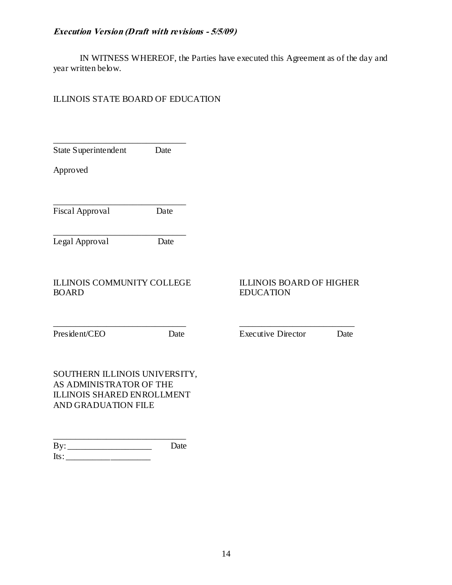## **Execution Version (Draft with revisions - 5/5/09)**

IN WITNESS WHEREOF, the Parties have executed this Agreement as of the day and year written below.

## ILLINOIS STATE BOARD OF EDUCATION

Its: \_\_\_\_\_\_\_\_\_\_\_\_\_\_\_\_\_\_\_

| State Superintendent                                                                                          | Date |                                                     |      |
|---------------------------------------------------------------------------------------------------------------|------|-----------------------------------------------------|------|
| Approved                                                                                                      |      |                                                     |      |
| Fiscal Approval                                                                                               | Date |                                                     |      |
| Legal Approval                                                                                                | Date |                                                     |      |
| <b>ILLINOIS COMMUNITY COLLEGE</b><br><b>BOARD</b>                                                             |      | <b>ILLINOIS BOARD OF HIGHER</b><br><b>EDUCATION</b> |      |
| President/CEO                                                                                                 | Date | <b>Executive Director</b>                           | Date |
| SOUTHERN ILLINOIS UNIVERSITY,<br>AS ADMINISTRATOR OF THE<br>ILLINOIS SHARED ENROLLMENT<br>AND GRADUATION FILE |      |                                                     |      |
| By:                                                                                                           | Date |                                                     |      |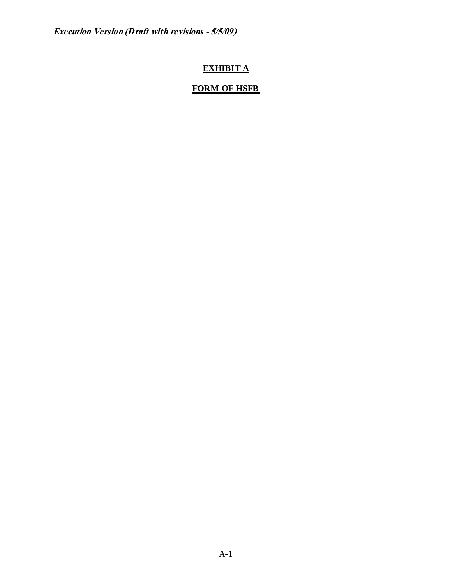## **EXHIBIT A**

# **FORM OF HSFB**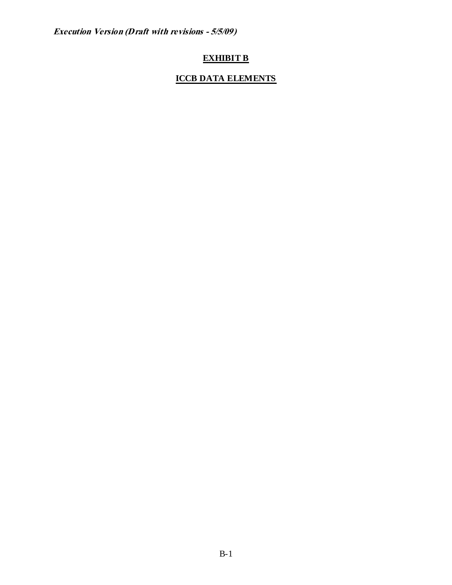## **EXHIBIT B**

## **ICCB DATA ELEMENTS**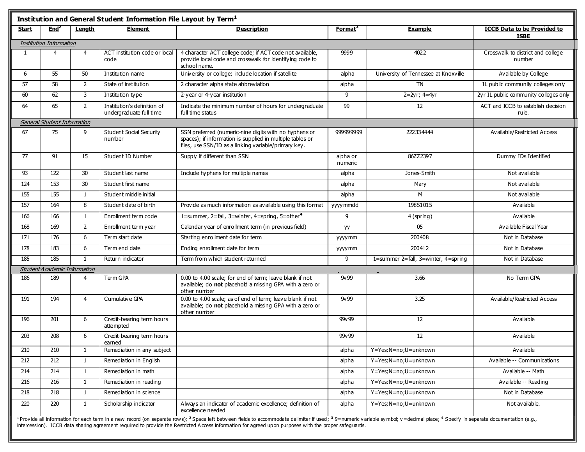| Institution and General Student Information File Layout by Term <sup>1</sup> |                                |                |                                                        |                                                                                                                                                                                                                                                                   |                     |                                           |                                                   |  |
|------------------------------------------------------------------------------|--------------------------------|----------------|--------------------------------------------------------|-------------------------------------------------------------------------------------------------------------------------------------------------------------------------------------------------------------------------------------------------------------------|---------------------|-------------------------------------------|---------------------------------------------------|--|
| Start                                                                        | End <sup>2</sup>               | Length         | <b>Element</b>                                         | <b>Description</b>                                                                                                                                                                                                                                                | Format <sup>3</sup> | Example                                   | <b>ICCB Data to be Provided to</b><br><b>ISBE</b> |  |
|                                                                              | <b>Institution Information</b> |                |                                                        |                                                                                                                                                                                                                                                                   |                     |                                           |                                                   |  |
| $\mathbf{1}$                                                                 | 4                              | 4              | ACT institution code or bcal<br>code                   | 4 character ACT college code; if ACT code not available,<br>provide local code and crosswalk for identifying code to<br>school name.                                                                                                                              | 9999                | 4022                                      | Crosswalk to district and college<br>number       |  |
| 6                                                                            | 55                             | 50             | Institution name                                       | University or college; include location if satellite                                                                                                                                                                                                              | alpha               | University of Tennessee at Knoxville      | Available by College                              |  |
| 57                                                                           | 58                             | $\overline{2}$ | State of institution                                   | 2 character alpha state abbreviation                                                                                                                                                                                                                              | alpha               | <b>TN</b>                                 | IL public community colleges only                 |  |
| 60                                                                           | 62                             | 3              | Institution type                                       | 2-year or 4-year institution                                                                                                                                                                                                                                      | 9                   | 2=2yr; 4=4yr                              | 2yr IL public community colleges only             |  |
| 64                                                                           | 65                             | $\overline{2}$ | Institution's definition of<br>undergraduate full time | Indicate the minimum number of hours for undergraduate<br>full time status                                                                                                                                                                                        | 99                  | 12                                        | ACT and ICCB to establish decision<br>rule.       |  |
|                                                                              | General Student Information    |                |                                                        |                                                                                                                                                                                                                                                                   |                     |                                           |                                                   |  |
| 67                                                                           | 75                             | 9              | <b>Student Social Security</b><br>number               | SSN preferred (numeric-nine digits with no hyphens or<br>spaces); if information is supplied in multiple tables or<br>files, use SSN/ID as a linking variable/primary key.                                                                                        | 999999999           | 222334444                                 | Available/Restricted Access                       |  |
| 77                                                                           | 91                             | 15             | Student ID Number                                      | Supply if different than SSN                                                                                                                                                                                                                                      | alpha or<br>numeric | 86ZZ2397                                  | Dummy IDs Identified                              |  |
| 93                                                                           | 122                            | 30             | Student last name                                      | Include hyphens for multiple names                                                                                                                                                                                                                                | alpha               | Jones-Smith                               | Not available                                     |  |
| 124                                                                          | 153                            | 30             | Student first name                                     |                                                                                                                                                                                                                                                                   | alpha               | Mary                                      | Not available                                     |  |
| 155                                                                          | 155                            | $\mathbf{1}$   | Student middle initial                                 |                                                                                                                                                                                                                                                                   | alpha               | M                                         | Not available                                     |  |
| 157                                                                          | 164                            | 8              | Student date of birth                                  | Provide as much information as available using this format                                                                                                                                                                                                        | yyyy mmdd           | 19851015                                  | Available                                         |  |
| 166                                                                          | 166                            | $\mathbf{1}$   | Enrollment term code                                   | 1=summer, 2=fall, 3=winter, 4=spring, 5=other $4$                                                                                                                                                                                                                 | 9                   | 4 (spring)                                | Available                                         |  |
| 168                                                                          | 169                            | $\mathbf{2}$   | Enrollment term year                                   | Calendar year of enrollment term (in previous field)                                                                                                                                                                                                              | yy                  | 05                                        | Available Fiscal Year                             |  |
| 171                                                                          | 176                            | 6              | Term start date                                        | Starting enrollment date for term                                                                                                                                                                                                                                 | yyyymm              | 200408                                    | Not in Database                                   |  |
| 178                                                                          | 183                            | 6              | Term end date                                          | Ending enrollment date for term                                                                                                                                                                                                                                   | yyyymm              | 200412                                    | Not in Database                                   |  |
| 185                                                                          | 185                            | $\mathbf{1}$   | Return indicator                                       | Term from which student returned                                                                                                                                                                                                                                  | 9                   | 1=summer 2=fall, $3=$ winter, $4=$ spring | Not in Database                                   |  |
|                                                                              | Student Academic Information   |                |                                                        |                                                                                                                                                                                                                                                                   |                     |                                           |                                                   |  |
| 186                                                                          | 189                            | 4              | <b>Term GPA</b>                                        | 0.00 to 4.00 scale; for end of term; leave blank if not<br>available; do not placehold a missing GPA with a zero or<br>other number                                                                                                                               | 9v99                | 3.66                                      | No Term GPA                                       |  |
| 191                                                                          | 194                            | $\overline{4}$ | Cumulative GPA                                         | 0.00 to 4.00 scale; as of end of term; leave blank if not<br>available; do not placehold a missing GPA with a zero or<br>other number                                                                                                                             | 9v99                | 3.25                                      | Available/Restricted Access                       |  |
| 196                                                                          | 201                            | 6              | Credit-bearing term hours<br>attempted                 |                                                                                                                                                                                                                                                                   | 99v99               | 12                                        | Available                                         |  |
| 203                                                                          | 208                            | 6              | Credit-bearing term hours<br>earned                    |                                                                                                                                                                                                                                                                   | 99v99               | 12                                        | Available                                         |  |
| 210                                                                          | 210                            | $\mathbf{1}$   | Remediation in any subject                             |                                                                                                                                                                                                                                                                   | alpha               | Y=Yes; N=no; U=unknown                    | Available                                         |  |
| 212                                                                          | 212                            | $\mathbf{1}$   | Remediation in English                                 |                                                                                                                                                                                                                                                                   | alpha               | Y=Yes; N=no; U=unknown                    | Available -- Communications                       |  |
| 214                                                                          | 214                            | $\mathbf{1}$   | Remediation in math                                    |                                                                                                                                                                                                                                                                   | alpha               | Y=Yes; N=no; U=unknown                    | Available -- Math                                 |  |
| 216                                                                          | 216                            | $\mathbf{1}$   | Remediation in reading                                 |                                                                                                                                                                                                                                                                   | alpha               | Y=Yes; N=no; U=unknown                    | Available -- Reading                              |  |
| 218                                                                          | 218                            | 1              | Remediation in science                                 |                                                                                                                                                                                                                                                                   | alpha               | Y=Yes; N=no; U=unknown                    | Not in Database                                   |  |
| 220                                                                          | 220                            | $\mathbf{1}$   | Scholarship indicator                                  | Always an indicator of academic excellence; definition of<br>excellence needed                                                                                                                                                                                    | alpha               | Y=Yes; N=no; U=unknown                    | Not available.                                    |  |
|                                                                              |                                |                |                                                        | <sup>1</sup> Provide all information for each term in a new record (on senarate rows): <sup>2</sup> Space left between fields to accommodate delimiter if used: <sup>3</sup> 9=numeric variable symbol: y = decimal place: <sup>4</sup> Specify in separate docum |                     |                                           |                                                   |  |

<sup>1</sup> Provide all information for each term in a new record (on separate rows); <sup>2</sup> Space left between fields to accommodate delimiter if used; <sup>3</sup> 9 = numeric v ariable symbol; v =decimal place; <sup>4</sup><br>intersection), JCCP data  $\sup$  in separate documentation (e.g., intercession). ICCB data sharing agreement required to prov ide the Restricted A ccess information for agreed upon purposes with the proper safeguards.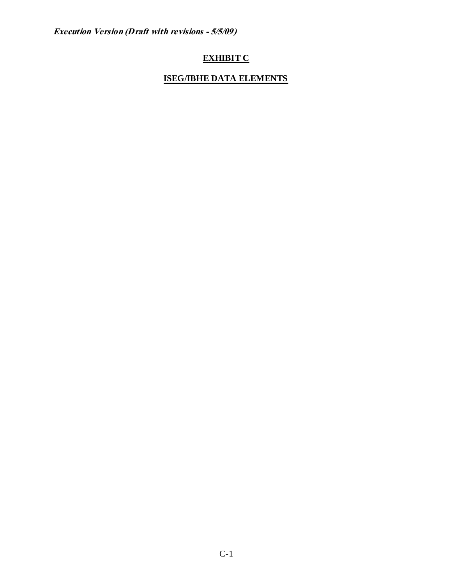## **EXHIBIT C**

## **ISEG/IBHE DATA ELEMENTS**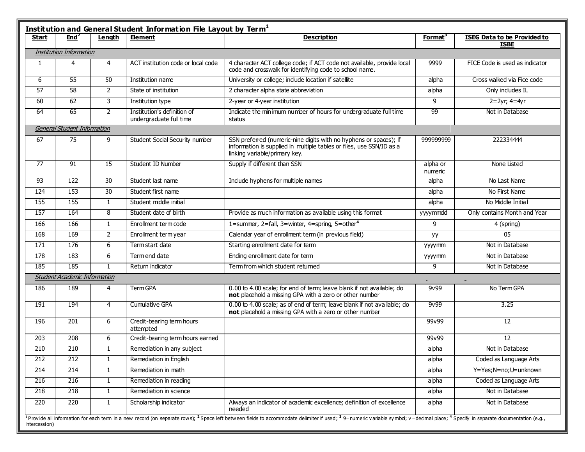| Start | End <sup>2</sup>                    | Length         | <b>Element</b>                                         | <b>Description</b>                                                                                                                                                         | <b>Format</b> <sup>3</sup> | <b>ISEG Data to be Provided to</b><br><b>ISBE</b> |
|-------|-------------------------------------|----------------|--------------------------------------------------------|----------------------------------------------------------------------------------------------------------------------------------------------------------------------------|----------------------------|---------------------------------------------------|
|       | <b>Institution Information</b>      |                |                                                        |                                                                                                                                                                            |                            |                                                   |
| 1     | 4                                   | 4              | ACT institution code or local code                     | 4 character ACT college code; if ACT code not available, provide local<br>code and crosswalk for identifying code to school name.                                          | 9999                       | FICE Code is used as indicator                    |
| 6     | $\overline{55}$                     | 50             | Institution name                                       | University or college; include location if satellite                                                                                                                       | alpha                      | Cross walked via Fice code                        |
| 57    | $\overline{58}$                     | $\overline{2}$ | State of institution                                   | 2 character alpha state abbreviation                                                                                                                                       | alpha                      | Only includes IL                                  |
| 60    | 62                                  | 3              | Institution type                                       | 2-year or 4-year institution                                                                                                                                               | 9                          | $2 = 2yr$ ; $4 = 4yr$                             |
| 64    | 65                                  | $\overline{2}$ | Institution's definition of<br>undergraduate full time | Indicate the minimum number of hours for undergraduate full time<br>status                                                                                                 | 99                         | Not in Database                                   |
|       | <b>General Student Information</b>  |                |                                                        |                                                                                                                                                                            |                            |                                                   |
| 67    | 75                                  | 9              | Student Social Security number                         | SSN preferred (numeric-nine digits with no hyphens or spaces); if<br>information is supplied in multiple tables or files, use SSN/ID as a<br>linking variable/primary key. | 99999999                   | 222334444                                         |
| 77    | 91                                  | 15             | Student ID Number                                      | Supply if different than SSN                                                                                                                                               | alpha or<br>numeric        | None Listed                                       |
| 93    | $\overline{122}$                    | 30             | Student last name                                      | Include hyphens for multiple names                                                                                                                                         | alpha                      | No Last Name                                      |
| 124   | 153                                 | 30             | Student first name                                     |                                                                                                                                                                            | alpha                      | No First Name                                     |
| 155   | 155                                 | $\mathbf{1}$   | Student middle initial                                 |                                                                                                                                                                            | alpha                      | No Middle Initial                                 |
| 157   | 164                                 | 8              | Student date of birth                                  | Provide as much information as available using this format                                                                                                                 | yyyymmdd                   | Only contains Month and Year                      |
| 166   | 166                                 | $\mathbf{1}$   | Enrollment term code                                   | 1=summer, 2=fall, 3=winter, 4=spring, 5=other <sup>4</sup>                                                                                                                 | 9                          | 4 (spring)                                        |
| 168   | 169                                 | $\overline{2}$ | Enrollment term year                                   | Calendar year of enrollment term (in previous field)                                                                                                                       | yy                         | $\overline{05}$                                   |
| 171   | 176                                 | 6              | Term start date                                        | Starting enrollment date for term                                                                                                                                          | yyyymm                     | Not in Database                                   |
| 178   | 183                                 | 6              | Term end date                                          | Ending enrollment date for term                                                                                                                                            | yyyymm                     | Not in Database                                   |
| 185   | 185                                 | $\mathbf{1}$   | Return indicator                                       | Term from which student returned                                                                                                                                           | 9                          | Not in Database                                   |
|       | <b>Student Academic Information</b> |                |                                                        |                                                                                                                                                                            |                            | $\sim$                                            |
| 186   | 189                                 | 4              | Term GPA                                               | 0.00 to 4.00 scale; for end of term; leave blank if not available; do<br>not placehold a missing GPA with a zero or other number                                           | 9v99                       | No Term GPA                                       |
| 191   | 194                                 | 4              | <b>Cumulative GPA</b>                                  | 0.00 to 4.00 scale; as of end of term; leave blank if not available; do<br>not placehold a missing GPA with a zero or other number                                         | 9v99                       | 3.25                                              |
| 196   | 201                                 | 6              | Credit-bearing term hours<br>attempted                 |                                                                                                                                                                            | 99v99                      | 12                                                |
| 203   | 208                                 | 6              | Credit-bearing term hours earned                       |                                                                                                                                                                            | 99v99                      | 12                                                |
| 210   | 210                                 | $\mathbf{1}$   | Remediation in any subject                             |                                                                                                                                                                            | alpha                      | Not in Database                                   |
| 212   | 212                                 | $\mathbf{1}$   | Remediation in English                                 |                                                                                                                                                                            | alpha                      | Coded as Language Arts                            |
| 214   | 214                                 | $\mathbf{1}$   | Remediation in math                                    |                                                                                                                                                                            | alpha                      | Y=Yes;N=no;U=unknown                              |
| 216   | 216                                 | $\mathbf{1}$   | Remediation in reading                                 |                                                                                                                                                                            | alpha                      | Coded as Language Arts                            |
| 218   | 218                                 | $\mathbf{1}$   | Remediation in science                                 |                                                                                                                                                                            | alpha                      | Not in Database                                   |
| 220   | 220                                 | $\mathbf{1}$   | Scholarship indicator                                  | Always an indicator of academic excellence; definition of excellence<br>needed                                                                                             | alpha                      | Not in Database                                   |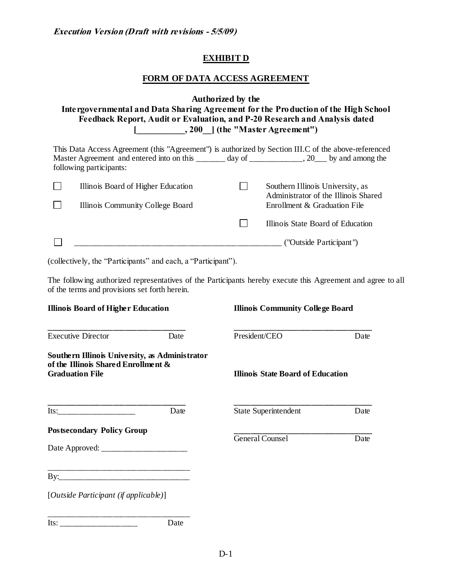## **EXHIBIT D**

## **FORM OF DATA ACCESS AGREEMENT**

|                                                                                            | Intergovernmental and Data Sharing Agreement for the Production of the High School<br>Feedback Report, Audit or Evaluation, and P-20 Research and Analysis dated                                       | Authorized by the |                                                                      |      |  |  |  |
|--------------------------------------------------------------------------------------------|--------------------------------------------------------------------------------------------------------------------------------------------------------------------------------------------------------|-------------------|----------------------------------------------------------------------|------|--|--|--|
|                                                                                            | This Data Access Agreement (this "Agreement") is authorized by Section III.C of the above-referenced<br>Master Agreement and entered into on this _______ day of _____________, 20___ by and among the |                   |                                                                      |      |  |  |  |
| following participants:                                                                    |                                                                                                                                                                                                        |                   |                                                                      |      |  |  |  |
|                                                                                            | Illinois Board of Higher Education                                                                                                                                                                     | $\Box$            | Southern Illinois University, as                                     |      |  |  |  |
|                                                                                            | Illinois Community College Board                                                                                                                                                                       |                   | Administrator of the Illinois Shared<br>Enrollment & Graduation File |      |  |  |  |
|                                                                                            |                                                                                                                                                                                                        |                   | Illinois State Board of Education                                    |      |  |  |  |
|                                                                                            |                                                                                                                                                                                                        |                   |                                                                      |      |  |  |  |
| of the terms and provisions set forth herein.<br><b>Illinois Board of Higher Education</b> | The following authorized representatives of the Participants hereby execute this Agreement and agree to all                                                                                            |                   | <b>Illinois Community College Board</b>                              |      |  |  |  |
| <b>Executive Director</b>                                                                  | Date                                                                                                                                                                                                   | President/CEO     |                                                                      | Date |  |  |  |
| of the Illinois Shared Enrollment &<br><b>Graduation File</b>                              | Southern Illinois University, as Administrator                                                                                                                                                         |                   | <b>Illinois State Board of Education</b>                             |      |  |  |  |
| ————————————————————<br>$Its:\_$                                                           | Date                                                                                                                                                                                                   |                   | <b>State Superintendent</b>                                          | Date |  |  |  |
| <b>Postsecondary Policy Group</b>                                                          |                                                                                                                                                                                                        | General Counsel   |                                                                      | Date |  |  |  |
|                                                                                            |                                                                                                                                                                                                        |                   |                                                                      |      |  |  |  |
|                                                                                            |                                                                                                                                                                                                        |                   |                                                                      |      |  |  |  |
| [Outside Participant (if applicable)]                                                      |                                                                                                                                                                                                        |                   |                                                                      |      |  |  |  |
| $Its: ____________$                                                                        | Date                                                                                                                                                                                                   |                   |                                                                      |      |  |  |  |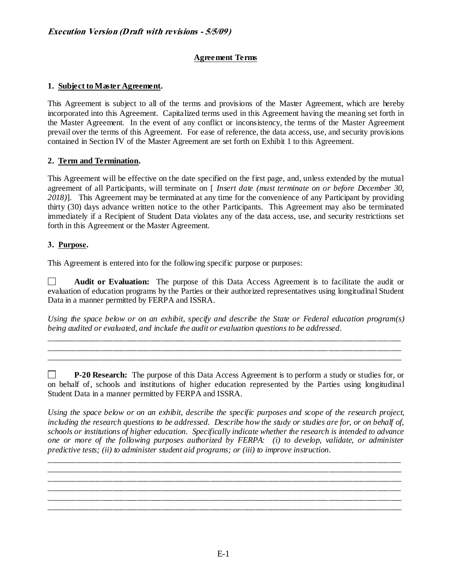### **Agreement Terms**

### **1. Subject to Master Agreement.**

This Agreement is subject to all of the terms and provisions of the Master Agreement, which are hereby incorporated into this Agreement. Capitalized terms used in this Agreement having the meaning set forth in the Master Agreement. In the event of any conflict or inconsistency, the terms of the Master Agreement prevail over the terms of this Agreement. For ease of reference, the data access, use, and security provisions contained in Section IV of the Master Agreement are set forth on Exhibit 1 to this Agreement.

#### **2. Term and Termination.**

This Agreement will be effective on the date specified on the first page, and, unless extended by the mutual agreement of all Participants, will terminate on [ *Insert date (must terminate on or before December 30, 2018)*]. This Agreement may be terminated at any time for the convenience of any Participant by providing thirty (30) days advance written notice to the other Participants. This Agreement may also be terminated immediately if a Recipient of Student Data violates any of the data access, use, and security restrictions set forth in this Agreement or the Master Agreement.

### **3. Purpose.**

This Agreement is entered into for the following specific purpose or purposes:

**Audit or Evaluation:** The purpose of this Data Access Agreement is to facilitate the audit or П. evaluation of education programs by the Parties or their authorized representatives using longitudinal Student Data in a manner permitted by FERPA and ISSRA.

*Using the space below or on an exhibit, specify and describe the State or Federal education program(s) being audited or evaluated, and include the audit or evaluation questions to be addressed*.

\_\_\_\_\_\_\_\_\_\_\_\_\_\_\_\_\_\_\_\_\_\_\_\_\_\_\_\_\_\_\_\_\_\_\_\_\_\_\_\_\_\_\_\_\_\_\_\_\_\_\_\_\_\_\_\_\_\_\_\_\_\_\_\_\_\_\_\_\_\_\_\_\_\_\_\_\_\_\_\_\_\_\_\_\_\_\_ \_\_\_\_\_\_\_\_\_\_\_\_\_\_\_\_\_\_\_\_\_\_\_\_\_\_\_\_\_\_\_\_\_\_\_\_\_\_\_\_\_\_\_\_\_\_\_\_\_\_\_\_\_\_\_\_\_\_\_\_\_\_\_\_\_\_\_\_\_\_\_\_\_\_\_\_\_\_\_\_\_\_\_\_\_\_\_ \_\_\_\_\_\_\_\_\_\_\_\_\_\_\_\_\_\_\_\_\_\_\_\_\_\_\_\_\_\_\_\_\_\_\_\_\_\_\_\_\_\_\_\_\_\_\_\_\_\_\_\_\_\_\_\_\_\_\_\_\_\_\_\_\_\_\_\_\_\_\_\_\_\_\_\_\_\_\_\_\_\_\_\_\_\_\_

П. **P-20 Research:** The purpose of this Data Access Agreement is to perform a study or studies for, or on behalf of, schools and institutions of higher education represented by the Parties using longitudinal Student Data in a manner permitted by FERPA and ISSRA.

*Using the space below or on an exhibit, describe the specific purposes and scope of the research project, including the research questions to be addressed. Describe how the study or studies are for, or on behalf of, schools or institutions of higher education. Specifically indicate whether the research is intended to advance one or more of the following purposes authorized by FERPA: (i) to develop, validate, or administer predictive tests; (ii) to administer student aid programs; or (iii) to improve instruction.*

\_\_\_\_\_\_\_\_\_\_\_\_\_\_\_\_\_\_\_\_\_\_\_\_\_\_\_\_\_\_\_\_\_\_\_\_\_\_\_\_\_\_\_\_\_\_\_\_\_\_\_\_\_\_\_\_\_\_\_\_\_\_\_\_\_\_\_\_\_\_\_\_\_\_\_\_\_\_\_\_\_\_\_\_\_\_\_ \_\_\_\_\_\_\_\_\_\_\_\_\_\_\_\_\_\_\_\_\_\_\_\_\_\_\_\_\_\_\_\_\_\_\_\_\_\_\_\_\_\_\_\_\_\_\_\_\_\_\_\_\_\_\_\_\_\_\_\_\_\_\_\_\_\_\_\_\_\_\_\_\_\_\_\_\_\_\_\_\_\_\_\_\_\_\_ \_\_\_\_\_\_\_\_\_\_\_\_\_\_\_\_\_\_\_\_\_\_\_\_\_\_\_\_\_\_\_\_\_\_\_\_\_\_\_\_\_\_\_\_\_\_\_\_\_\_\_\_\_\_\_\_\_\_\_\_\_\_\_\_\_\_\_\_\_\_\_\_\_\_\_\_\_\_\_\_\_\_\_\_\_\_\_ \_\_\_\_\_\_\_\_\_\_\_\_\_\_\_\_\_\_\_\_\_\_\_\_\_\_\_\_\_\_\_\_\_\_\_\_\_\_\_\_\_\_\_\_\_\_\_\_\_\_\_\_\_\_\_\_\_\_\_\_\_\_\_\_\_\_\_\_\_\_\_\_\_\_\_\_\_\_\_\_\_\_\_\_\_\_\_ \_\_\_\_\_\_\_\_\_\_\_\_\_\_\_\_\_\_\_\_\_\_\_\_\_\_\_\_\_\_\_\_\_\_\_\_\_\_\_\_\_\_\_\_\_\_\_\_\_\_\_\_\_\_\_\_\_\_\_\_\_\_\_\_\_\_\_\_\_\_\_\_\_\_\_\_\_\_\_\_\_\_\_\_\_\_\_ \_\_\_\_\_\_\_\_\_\_\_\_\_\_\_\_\_\_\_\_\_\_\_\_\_\_\_\_\_\_\_\_\_\_\_\_\_\_\_\_\_\_\_\_\_\_\_\_\_\_\_\_\_\_\_\_\_\_\_\_\_\_\_\_\_\_\_\_\_\_\_\_\_\_\_\_\_\_\_\_\_\_\_\_\_\_\_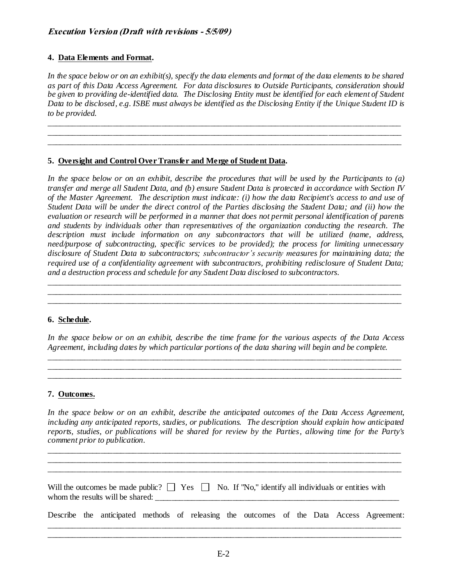#### **4. Data Elements and Format.**

*In the space below or on an exhibit(s), specify the data elements and format of the data elements to be shared as part of this Data Access Agreement. For data disclosures to Outside Participants, consideration should be given to providing de-identified data. The Disclosing Entity must be identified for each element of Student Data to be disclosed, e.g. ISBE must always be identified as the Disclosing Entity if the Unique Student ID is to be provided.* 

\_\_\_\_\_\_\_\_\_\_\_\_\_\_\_\_\_\_\_\_\_\_\_\_\_\_\_\_\_\_\_\_\_\_\_\_\_\_\_\_\_\_\_\_\_\_\_\_\_\_\_\_\_\_\_\_\_\_\_\_\_\_\_\_\_\_\_\_\_\_\_\_\_\_\_\_\_\_\_\_\_\_\_\_\_\_\_ \_\_\_\_\_\_\_\_\_\_\_\_\_\_\_\_\_\_\_\_\_\_\_\_\_\_\_\_\_\_\_\_\_\_\_\_\_\_\_\_\_\_\_\_\_\_\_\_\_\_\_\_\_\_\_\_\_\_\_\_\_\_\_\_\_\_\_\_\_\_\_\_\_\_\_\_\_\_\_\_\_\_\_\_\_\_\_ \_\_\_\_\_\_\_\_\_\_\_\_\_\_\_\_\_\_\_\_\_\_\_\_\_\_\_\_\_\_\_\_\_\_\_\_\_\_\_\_\_\_\_\_\_\_\_\_\_\_\_\_\_\_\_\_\_\_\_\_\_\_\_\_\_\_\_\_\_\_\_\_\_\_\_\_\_\_\_\_\_\_\_\_\_\_\_

#### **5. Oversight and Control Over Transfer and Merge of Student Data.**

*In the space below or on an exhibit, describe the procedures that will be used by the Participants to (a) transfer and merge all Student Data, and (b) ensure Student Data is protected in accordance with Section IV of the Master Agreement. The description must indicate: (i) how the data Recipient's access to and use of Student Data will be under the direct control of the Parties disclosing the Student Data; and (ii) how the evaluation or research will be performed in a manner that does not permit personal identification of parents and students by individuals other than representatives of the organization conducting the research. The description must include information on any subcontractors that will be utilized (name, address, need/purpose of subcontracting, specific services to be provided); the process for limiting unnecessary disclosure of Student Data to subcontractors; subcontractor's security measures for maintaining data; the required use of a confidentiality agreement with subcontractors, prohibiting redisclosure of Student Data; and a destruction process and schedule for any Student Data disclosed to subcontractors.* 

\_\_\_\_\_\_\_\_\_\_\_\_\_\_\_\_\_\_\_\_\_\_\_\_\_\_\_\_\_\_\_\_\_\_\_\_\_\_\_\_\_\_\_\_\_\_\_\_\_\_\_\_\_\_\_\_\_\_\_\_\_\_\_\_\_\_\_\_\_\_\_\_\_\_\_\_\_\_\_\_\_\_\_\_\_\_\_ \_\_\_\_\_\_\_\_\_\_\_\_\_\_\_\_\_\_\_\_\_\_\_\_\_\_\_\_\_\_\_\_\_\_\_\_\_\_\_\_\_\_\_\_\_\_\_\_\_\_\_\_\_\_\_\_\_\_\_\_\_\_\_\_\_\_\_\_\_\_\_\_\_\_\_\_\_\_\_\_\_\_\_\_\_\_\_ \_\_\_\_\_\_\_\_\_\_\_\_\_\_\_\_\_\_\_\_\_\_\_\_\_\_\_\_\_\_\_\_\_\_\_\_\_\_\_\_\_\_\_\_\_\_\_\_\_\_\_\_\_\_\_\_\_\_\_\_\_\_\_\_\_\_\_\_\_\_\_\_\_\_\_\_\_\_\_\_\_\_\_\_\_\_\_

#### **6. Schedule.**

*In the space below or on an exhibit, describe the time frame for the various aspects of the Data Access Agreement, including dates by which particular portions of the data sharing will begin and be complete.* 

\_\_\_\_\_\_\_\_\_\_\_\_\_\_\_\_\_\_\_\_\_\_\_\_\_\_\_\_\_\_\_\_\_\_\_\_\_\_\_\_\_\_\_\_\_\_\_\_\_\_\_\_\_\_\_\_\_\_\_\_\_\_\_\_\_\_\_\_\_\_\_\_\_\_\_\_\_\_\_\_\_\_\_\_\_\_\_ \_\_\_\_\_\_\_\_\_\_\_\_\_\_\_\_\_\_\_\_\_\_\_\_\_\_\_\_\_\_\_\_\_\_\_\_\_\_\_\_\_\_\_\_\_\_\_\_\_\_\_\_\_\_\_\_\_\_\_\_\_\_\_\_\_\_\_\_\_\_\_\_\_\_\_\_\_\_\_\_\_\_\_\_\_\_\_ \_\_\_\_\_\_\_\_\_\_\_\_\_\_\_\_\_\_\_\_\_\_\_\_\_\_\_\_\_\_\_\_\_\_\_\_\_\_\_\_\_\_\_\_\_\_\_\_\_\_\_\_\_\_\_\_\_\_\_\_\_\_\_\_\_\_\_\_\_\_\_\_\_\_\_\_\_\_\_\_\_\_\_\_\_\_\_

#### **7. Outcomes.**

*In the space below or on an exhibit, describe the anticipated outcomes of the Data Access Agreement, including any anticipated reports, studies, or publications. The description should explain how anticipated reports, studies, or publications will be shared for review by the Parties, allowing time for the Party's comment prior to publication.* 

\_\_\_\_\_\_\_\_\_\_\_\_\_\_\_\_\_\_\_\_\_\_\_\_\_\_\_\_\_\_\_\_\_\_\_\_\_\_\_\_\_\_\_\_\_\_\_\_\_\_\_\_\_\_\_\_\_\_\_\_\_\_\_\_\_\_\_\_\_\_\_\_\_\_\_\_\_\_\_\_\_\_\_\_\_\_\_ \_\_\_\_\_\_\_\_\_\_\_\_\_\_\_\_\_\_\_\_\_\_\_\_\_\_\_\_\_\_\_\_\_\_\_\_\_\_\_\_\_\_\_\_\_\_\_\_\_\_\_\_\_\_\_\_\_\_\_\_\_\_\_\_\_\_\_\_\_\_\_\_\_\_\_\_\_\_\_\_\_\_\_\_\_\_\_ \_\_\_\_\_\_\_\_\_\_\_\_\_\_\_\_\_\_\_\_\_\_\_\_\_\_\_\_\_\_\_\_\_\_\_\_\_\_\_\_\_\_\_\_\_\_\_\_\_\_\_\_\_\_\_\_\_\_\_\_\_\_\_\_\_\_\_\_\_\_\_\_\_\_\_\_\_\_\_\_\_\_\_\_\_\_\_

| Will the outcomes be made public? $\Box$ Yes $\Box$ No. If "No," identify all individuals or entities with<br>whom the results will be shared: |  |                                                                                         |  |  |  |  |  |  |  |  |  |  |
|------------------------------------------------------------------------------------------------------------------------------------------------|--|-----------------------------------------------------------------------------------------|--|--|--|--|--|--|--|--|--|--|
|                                                                                                                                                |  | Describe the anticipated methods of releasing the outcomes of the Data Access Agreement |  |  |  |  |  |  |  |  |  |  |

\_\_\_\_\_\_\_\_\_\_\_\_\_\_\_\_\_\_\_\_\_\_\_\_\_\_\_\_\_\_\_\_\_\_\_\_\_\_\_\_\_\_\_\_\_\_\_\_\_\_\_\_\_\_\_\_\_\_\_\_\_\_\_\_\_\_\_\_\_\_\_\_\_\_\_\_\_\_\_\_\_\_\_\_\_\_\_ \_\_\_\_\_\_\_\_\_\_\_\_\_\_\_\_\_\_\_\_\_\_\_\_\_\_\_\_\_\_\_\_\_\_\_\_\_\_\_\_\_\_\_\_\_\_\_\_\_\_\_\_\_\_\_\_\_\_\_\_\_\_\_\_\_\_\_\_\_\_\_\_\_\_\_\_\_\_\_\_\_\_\_\_\_\_\_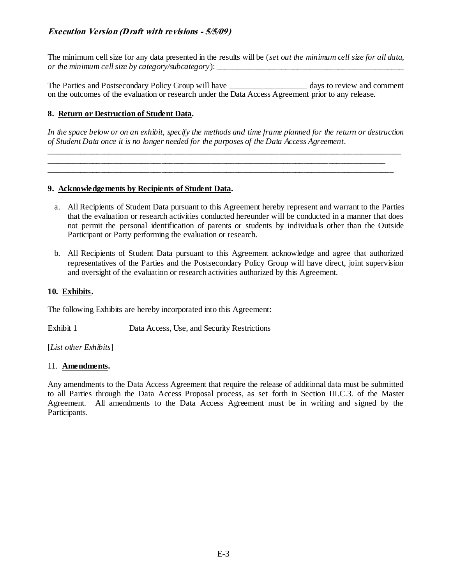The minimum cell size for any data presented in the results will be (*set out the minimum cell size for all data, or the minimum cell size by category/subcategory*):

The Parties and Postsecondary Policy Group will have days to review and comment on the outcomes of the evaluation or research under the Data Access Agreement prior to any release.

### **8. Return or Destruction of Student Data.**

*In the space below or on an exhibit, specify the methods and time frame planned for the return or destruction of Student Data once it is no longer needed for the purposes of the Data Access Agreement.* 

\_\_\_\_\_\_\_\_\_\_\_\_\_\_\_\_\_\_\_\_\_\_\_\_\_\_\_\_\_\_\_\_\_\_\_\_\_\_\_\_\_\_\_\_\_\_\_\_\_\_\_\_\_\_\_\_\_\_\_\_\_\_\_\_\_\_\_\_\_\_\_\_\_\_\_\_\_\_\_\_\_\_\_\_\_\_\_ \_\_\_\_\_\_\_\_\_\_\_\_\_\_\_\_\_\_\_\_\_\_\_\_\_\_\_\_\_\_\_\_\_\_\_\_\_\_\_\_\_\_\_\_\_\_\_\_\_\_\_\_\_\_\_\_\_\_\_\_\_\_\_\_\_\_\_\_\_\_\_\_\_\_\_\_\_\_\_\_\_\_\_ \_\_\_\_\_\_\_\_\_\_\_\_\_\_\_\_\_\_\_\_\_\_\_\_\_\_\_\_\_\_\_\_\_\_\_\_\_\_\_\_\_\_\_\_\_\_\_\_\_\_\_\_\_\_\_\_\_\_\_\_\_\_\_\_\_\_\_\_\_\_\_\_\_\_\_\_\_\_\_\_\_\_\_\_\_

#### **9. Acknowledgements by Recipients of Student Data.**

- a. All Recipients of Student Data pursuant to this Agreement hereby represent and warrant to the Parties that the evaluation or research activities conducted hereunder will be conducted in a manner that does not permit the personal identification of parents or students by individuals other than the Outside Participant or Party performing the evaluation or research.
- b. All Recipients of Student Data pursuant to this Agreement acknowledge and agree that authorized representatives of the Parties and the Postsecondary Policy Group will have direct, joint supervision and oversight of the evaluation or research activities authorized by this Agreement.

#### **10. Exhibits.**

The following Exhibits are hereby incorporated into this Agreement:

Exhibit 1 Data Access, Use, and Security Restrictions

[*List other Exhibits*]

#### 11. **Amendments.**

Any amendments to the Data Access Agreement that require the release of additional data must be submitted to all Parties through the Data Access Proposal process, as set forth in Section III.C.3. of the Master Agreement. All amendments to the Data Access Agreement must be in writing and signed by the Participants.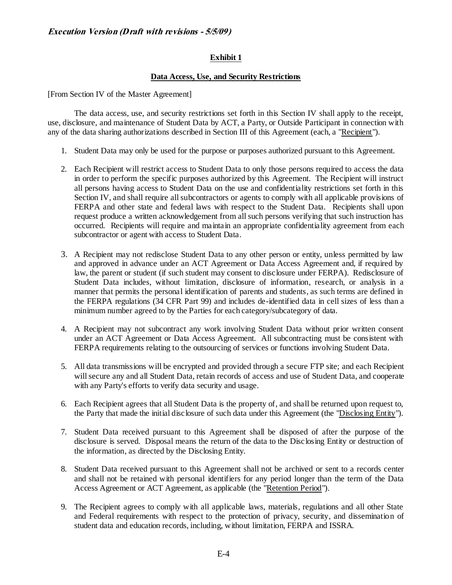#### **Exhibit 1**

#### **Data Access, Use, and Security Restrictions**

[From Section IV of the Master Agreement]

The data access, use, and security restrictions set forth in this Section IV shall apply to the receipt, use, disclosure, and maintenance of Student Data by ACT, a Party, or Outside Participant in connection with any of the data sharing authorizations described in Section III of this Agreement (each, a "Recipient").

- 1. Student Data may only be used for the purpose or purposes authorized pursuant to this Agreement.
- 2. Each Recipient will restrict access to Student Data to only those persons required to access the data in order to perform the specific purposes authorized by this Agreement. The Recipient will instruct all persons having access to Student Data on the use and confidentiality restrictions set forth in this Section IV, and shall require all subcontractors or agents to comply with all applicable provisions of FERPA and other state and federal laws with respect to the Student Data. Recipients shall upon request produce a written acknowledgement from all such persons verifying that such instruction has occurred. Recipients will require and maintain an appropriate confidentiality agreement from each subcontractor or agent with access to Student Data.
- 3. A Recipient may not redisclose Student Data to any other person or entity, unless permitted by law and approved in advance under an ACT Agreement or Data Access Agreement and, if required by law, the parent or student (if such student may consent to disclosure under FERPA). Redisclosure of Student Data includes, without limitation, disclosure of information, research, or analysis in a manner that permits the personal identification of parents and students, as such terms are defined in the FERPA regulations (34 CFR Part 99) and includes de-identified data in cell sizes of less than a minimum number agreed to by the Parties for each category/subcategory of data.
- 4. A Recipient may not subcontract any work involving Student Data without prior written consent under an ACT Agreement or Data Access Agreement. All subcontracting must be consistent with FERPA requirements relating to the outsourcing of services or functions involving Student Data.
- 5. All data transmissions will be encrypted and provided through a secure FTP site; and each Recipient will secure any and all Student Data, retain records of access and use of Student Data, and cooperate with any Party's efforts to verify data security and usage.
- 6. Each Recipient agrees that all Student Data is the property of, and shall be returned upon request to, the Party that made the initial disclosure of such data under this Agreement (the "Disclosing Entity").
- 7. Student Data received pursuant to this Agreement shall be disposed of after the purpose of the disclosure is served. Disposal means the return of the data to the Disclosing Entity or destruction of the information, as directed by the Disclosing Entity.
- 8. Student Data received pursuant to this Agreement shall not be archived or sent to a records center and shall not be retained with personal identifiers for any period longer than the term of the Data Access Agreement or ACT Agreement, as applicable (the "Retention Period").
- 9. The Recipient agrees to comply with all applicable laws, materials, regulations and all other State and Federal requirements with respect to the protection of privacy, security, and dissemination of student data and education records, including, without limitation, FERPA and ISSRA.